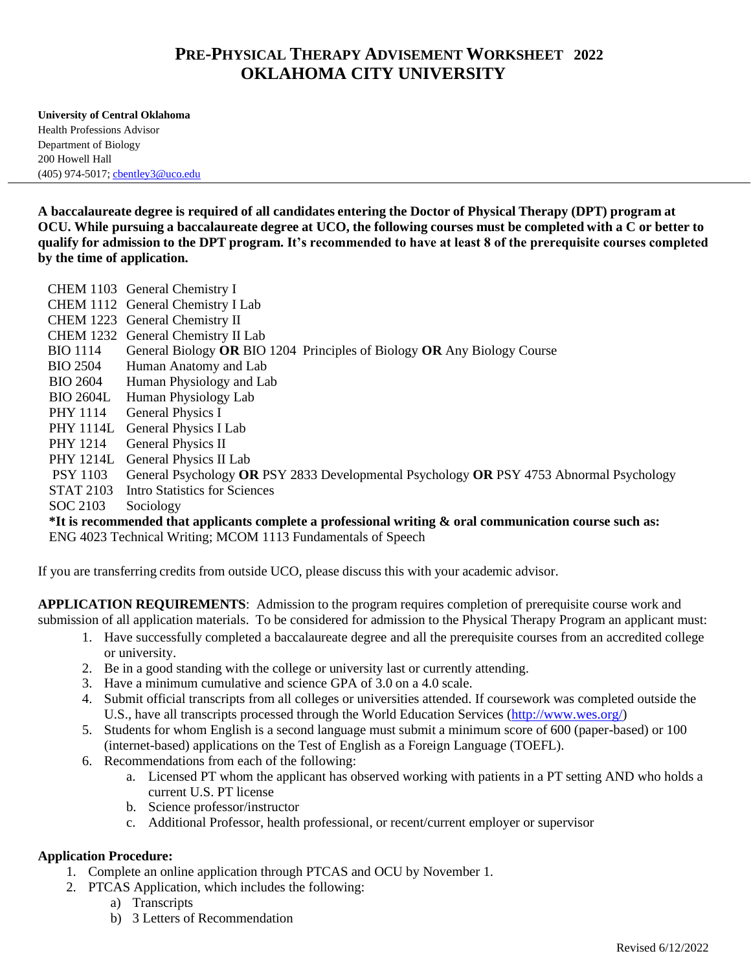## **PRE-PHYSICAL THERAPY ADVISEMENT WORKSHEET 2022 OKLAHOMA CITY UNIVERSITY**

**University of Central Oklahoma** Health Professions Advisor Department of Biology 200 Howell Hall (405) 974-5017; [cbentley3@uco.edu](mailto:cbentley3@uco.edu)

**A baccalaureate degree is required of all candidates entering the Doctor of Physical Therapy (DPT) program at** OCU. While pursuing a baccalaureate degree at UCO, the following courses must be completed with a C or better to **qualify for admission to the DPT program. It's recommended to have at least 8 of the prerequisite courses completed by the time of application.**

CHEM 1103 General Chemistry I CHEM 1112 General Chemistry I Lab CHEM 1223 General Chemistry II CHEM 1232 General Chemistry II Lab BIO 1114 General Biology **OR** BIO 1204 Principles of Biology **OR** Any Biology Course BIO 2504 Human Anatomy and Lab BIO 2604 Human Physiology and Lab BIO 2604L Human Physiology Lab PHY 1114 General Physics I PHY 1114L General Physics I Lab PHY 1214 General Physics II PHY 1214L General Physics II Lab PSY 1103 General Psychology **OR** PSY 2833 Developmental Psychology **OR** PSY 4753 Abnormal Psychology STAT 2103 Intro Statistics for Sciences SOC 2103 Sociology

**\*It is recommended that applicants complete a professional writing & oral communication course such as:**  ENG 4023 Technical Writing; MCOM 1113 Fundamentals of Speech

If you are transferring credits from outside UCO, please discuss this with your academic advisor.

**APPLICATION REQUIREMENTS**: Admission to the program requires completion of prerequisite course work and submission of all application materials. To be considered for admission to the Physical Therapy Program an applicant must:

- 1. Have successfully completed a baccalaureate degree and all the prerequisite courses from an accredited college or university.
- 2. Be in a good standing with the college or university last or currently attending.
- 3. Have a minimum cumulative and science GPA of 3.0 on a 4.0 scale.
- 4. Submit official transcripts from all colleges or universities attended. If coursework was completed outside the U.S., have all transcripts processed through the World Education Services [\(http://www.wes.org/\)](http://www.wes.org/)
- 5. Students for whom English is a second language must submit a minimum score of 600 (paper-based) or 100 (internet-based) applications on the Test of English as a Foreign Language (TOEFL).
- 6. Recommendations from each of the following:
	- a. Licensed PT whom the applicant has observed working with patients in a PT setting AND who holds a current U.S. PT license
	- b. Science professor/instructor
	- c. Additional Professor, health professional, or recent/current employer or supervisor

## **Application Procedure:**

- 1. Complete an online application through PTCAS and OCU by November 1.
- 2. PTCAS Application, which includes the following:
	- a) Transcripts
	- b) 3 Letters of Recommendation